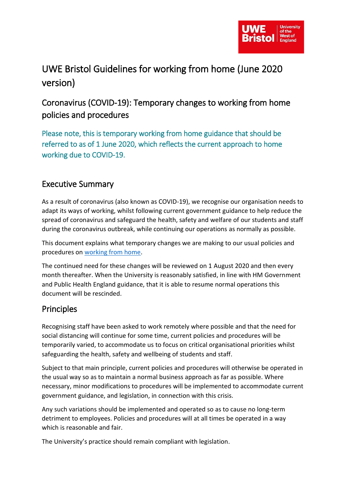

# UWE Bristol Guidelines for working from home (June 2020 version)

### Coronavirus (COVID-19): Temporary changes to working from home policies and procedures

Please note, this is temporary working from home guidance that should be referred to as of 1 June 2020, which reflects the current approach to home working due to COVID-19.

#### Executive Summary

As a result of coronavirus (also known as COVID-19), we recognise our organisation needs to adapt its ways of working, whilst following current government guidance to help reduce the spread of coronavirus and safeguard the health, safety and welfare of our students and staff during the coronavirus outbreak, while continuing our operations as normally as possible.

This document explains what temporary changes we are making to our usual policies and procedures on [working from home.](https://www2.uwe.ac.uk/services/Marketing/about-us/Human%20Resources/Homeworking_guidelines.pdf)

The continued need for these changes will be reviewed on 1 August 2020 and then every month thereafter. When the University is reasonably satisfied, in line with HM Government and Public Health England guidance, that it is able to resume normal operations this document will be rescinded.

### Principles

Recognising staff have been asked to work remotely where possible and that the need for social distancing will continue for some time, current policies and procedures will be temporarily varied, to accommodate us to focus on critical organisational priorities whilst safeguarding the health, safety and wellbeing of students and staff.

Subject to that main principle, current policies and procedures will otherwise be operated in the usual way so as to maintain a normal business approach as far as possible. Where necessary, minor modifications to procedures will be implemented to accommodate current government guidance, and legislation, in connection with this crisis.

Any such variations should be implemented and operated so as to cause no long-term detriment to employees. Policies and procedures will at all times be operated in a way which is reasonable and fair.

The University's practice should remain compliant with legislation.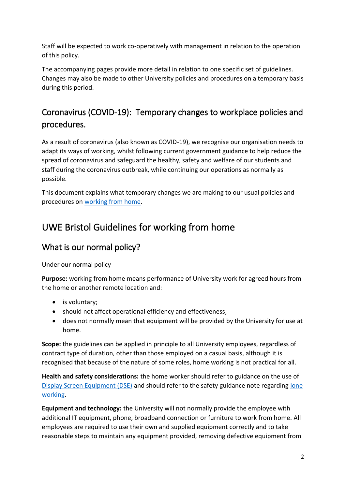Staff will be expected to work co-operatively with management in relation to the operation of this policy.

The accompanying pages provide more detail in relation to one specific set of guidelines. Changes may also be made to other University policies and procedures on a temporary basis during this period.

### Coronavirus (COVID-19): Temporary changes to workplace policies and procedures.

As a result of coronavirus (also known as COVID-19), we recognise our organisation needs to adapt its ways of working, whilst following current government guidance to help reduce the spread of coronavirus and safeguard the healthy, safety and welfare of our students and staff during the coronavirus outbreak, while continuing our operations as normally as possible.

This document explains what temporary changes we are making to our usual policies and procedures on [working from home.](https://www2.uwe.ac.uk/services/Marketing/about-us/Human%20Resources/Homeworking_guidelines.pdf)

## UWE Bristol Guidelines for working from home

### What is our normal policy?

Under our normal policy

**Purpose:** working from home means performance of University work for agreed hours from the home or another remote location and:

- is voluntary;
- should not affect operational efficiency and effectiveness;
- does not normally mean that equipment will be provided by the University for use at home.

**Scope:** the guidelines can be applied in principle to all University employees, regardless of contract type of duration, other than those employed on a casual basis, although it is recognised that because of the nature of some roles, home working is not practical for all.

**Health and safety considerations:** the home worker should refer to guidance on the use of [Display Screen Equipment \(DSE\)](https://intranet.uwe.ac.uk/tasks-guides/Policy/display-screen-equipment) and should refer to the safety guidance note regarding [lone](https://intranet.uwe.ac.uk/tasks-guides/Guide/lone-working)  [working.](https://intranet.uwe.ac.uk/tasks-guides/Guide/lone-working)

**Equipment and technology:** the University will not normally provide the employee with additional IT equipment, phone, broadband connection or furniture to work from home. All employees are required to use their own and supplied equipment correctly and to take reasonable steps to maintain any equipment provided, removing defective equipment from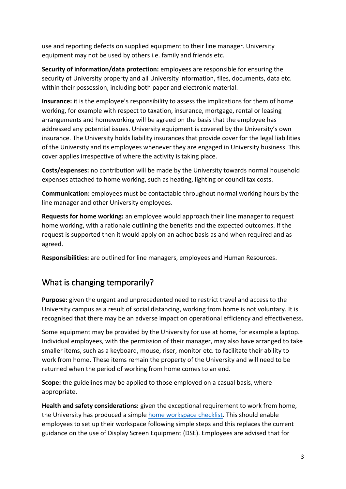use and reporting defects on supplied equipment to their line manager. University equipment may not be used by others i.e. family and friends etc.

**Security of information/data protection:** employees are responsible for ensuring the security of University property and all University information, files, documents, data etc. within their possession, including both paper and electronic material.

**Insurance:** it is the employee's responsibility to assess the implications for them of home working, for example with respect to taxation, insurance, mortgage, rental or leasing arrangements and homeworking will be agreed on the basis that the employee has addressed any potential issues. University equipment is covered by the University's own insurance. The University holds liability insurances that provide cover for the legal liabilities of the University and its employees whenever they are engaged in University business. This cover applies irrespective of where the activity is taking place.

**Costs/expenses:** no contribution will be made by the University towards normal household expenses attached to home working, such as heating, lighting or council tax costs.

**Communication:** employees must be contactable throughout normal working hours by the line manager and other University employees.

**Requests for home working:** an employee would approach their line manager to request home working, with a rationale outlining the benefits and the expected outcomes. If the request is supported then it would apply on an adhoc basis as and when required and as agreed.

**Responsibilities:** are outlined for line managers, employees and Human Resources.

### What is changing temporarily?

**Purpose:** given the urgent and unprecedented need to restrict travel and access to the University campus as a result of social distancing, working from home is not voluntary. It is recognised that there may be an adverse impact on operational efficiency and effectiveness.

Some equipment may be provided by the University for use at home, for example a laptop. Individual employees, with the permission of their manager, may also have arranged to take smaller items, such as a keyboard, mouse, riser, monitor etc. to facilitate their ability to work from home. These items remain the property of the University and will need to be returned when the period of working from home comes to an end.

**Scope:** the guidelines may be applied to those employed on a casual basis, where appropriate.

**Health and safety considerations:** given the exceptional requirement to work from home, the University has produced a simple [home workspace checklist.](https://docs.uwe.ac.uk/ou/Communications/_layouts/15/download.aspx?SourceUrl=https://docs.uwe.ac.uk/ou/Communications/Documents/Home%20Workspace%20Checklist.docx) This should enable employees to set up their workspace following simple steps and this replaces the current guidance on the use of Display Screen Equipment (DSE). Employees are advised that for